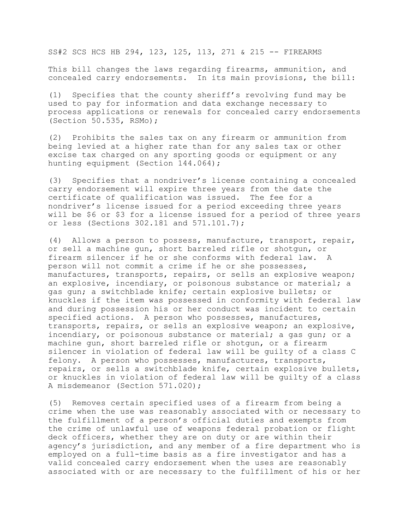SS#2 SCS HCS HB 294, 123, 125, 113, 271 & 215 -- FIREARMS

This bill changes the laws regarding firearms, ammunition, and concealed carry endorsements. In its main provisions, the bill:

(1) Specifies that the county sheriff's revolving fund may be used to pay for information and data exchange necessary to process applications or renewals for concealed carry endorsements (Section 50.535, RSMo);

(2) Prohibits the sales tax on any firearm or ammunition from being levied at a higher rate than for any sales tax or other excise tax charged on any sporting goods or equipment or any hunting equipment (Section 144.064);

(3) Specifies that a nondriver's license containing a concealed carry endorsement will expire three years from the date the certificate of qualification was issued. The fee for a nondriver's license issued for a period exceeding three years will be \$6 or \$3 for a license issued for a period of three years or less (Sections 302.181 and 571.101.7);

(4) Allows a person to possess, manufacture, transport, repair, or sell a machine gun, short barreled rifle or shotgun, or firearm silencer if he or she conforms with federal law. A person will not commit a crime if he or she possesses, manufactures, transports, repairs, or sells an explosive weapon; an explosive, incendiary, or poisonous substance or material; a gas gun; a switchblade knife; certain explosive bullets; or knuckles if the item was possessed in conformity with federal law and during possession his or her conduct was incident to certain specified actions. A person who possesses, manufactures, transports, repairs, or sells an explosive weapon; an explosive, incendiary, or poisonous substance or material; a gas gun; or a machine gun, short barreled rifle or shotgun, or a firearm silencer in violation of federal law will be guilty of a class C felony. A person who possesses, manufactures, transports, repairs, or sells a switchblade knife, certain explosive bullets, or knuckles in violation of federal law will be guilty of a class A misdemeanor (Section 571.020);

(5) Removes certain specified uses of a firearm from being a crime when the use was reasonably associated with or necessary to the fulfillment of a person's official duties and exempts from the crime of unlawful use of weapons federal probation or flight deck officers, whether they are on duty or are within their agency's jurisdiction, and any member of a fire department who is employed on a full-time basis as a fire investigator and has a valid concealed carry endorsement when the uses are reasonably associated with or are necessary to the fulfillment of his or her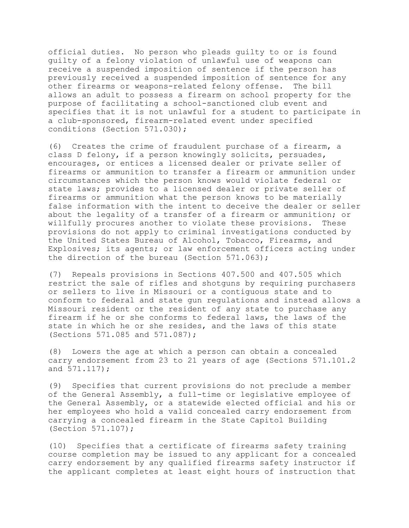official duties. No person who pleads guilty to or is found guilty of a felony violation of unlawful use of weapons can receive a suspended imposition of sentence if the person has previously received a suspended imposition of sentence for any other firearms or weapons-related felony offense. The bill allows an adult to possess a firearm on school property for the purpose of facilitating a school-sanctioned club event and specifies that it is not unlawful for a student to participate in a club-sponsored, firearm-related event under specified conditions (Section 571.030);

(6) Creates the crime of fraudulent purchase of a firearm, a class D felony, if a person knowingly solicits, persuades, encourages, or entices a licensed dealer or private seller of firearms or ammunition to transfer a firearm or ammunition under circumstances which the person knows would violate federal or state laws; provides to a licensed dealer or private seller of firearms or ammunition what the person knows to be materially false information with the intent to deceive the dealer or seller about the legality of a transfer of a firearm or ammunition; or willfully procures another to violate these provisions. These provisions do not apply to criminal investigations conducted by the United States Bureau of Alcohol, Tobacco, Firearms, and Explosives; its agents; or law enforcement officers acting under the direction of the bureau (Section 571.063);

(7) Repeals provisions in Sections 407.500 and 407.505 which restrict the sale of rifles and shotguns by requiring purchasers or sellers to live in Missouri or a contiguous state and to conform to federal and state gun regulations and instead allows a Missouri resident or the resident of any state to purchase any firearm if he or she conforms to federal laws, the laws of the state in which he or she resides, and the laws of this state (Sections 571.085 and 571.087);

(8) Lowers the age at which a person can obtain a concealed carry endorsement from 23 to 21 years of age (Sections 571.101.2 and 571.117);

(9) Specifies that current provisions do not preclude a member of the General Assembly, a full-time or legislative employee of the General Assembly, or a statewide elected official and his or her employees who hold a valid concealed carry endorsement from carrying a concealed firearm in the State Capitol Building (Section 571.107);

(10) Specifies that a certificate of firearms safety training course completion may be issued to any applicant for a concealed carry endorsement by any qualified firearms safety instructor if the applicant completes at least eight hours of instruction that